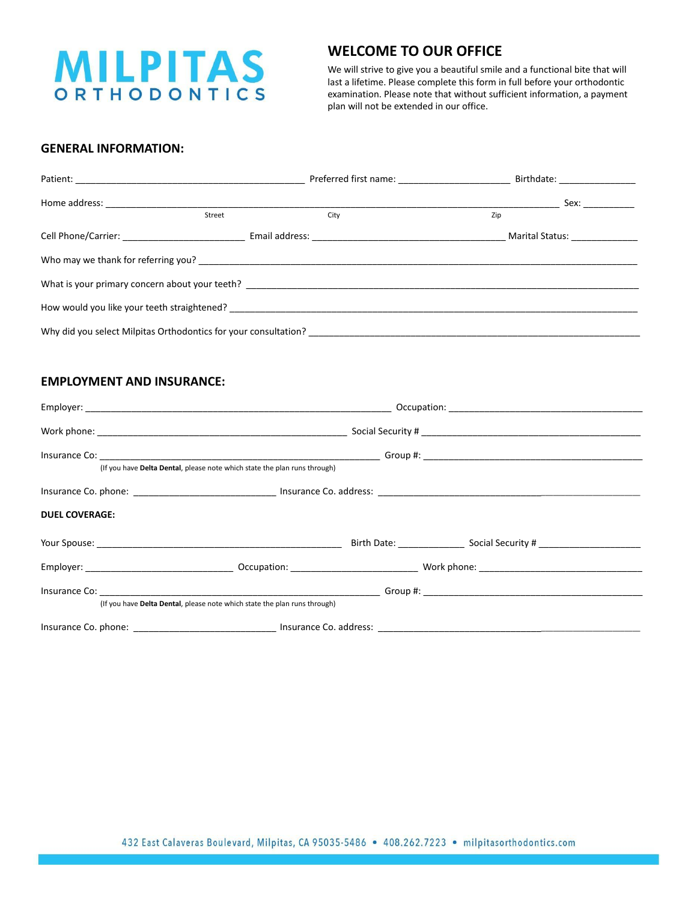

## **WELCOME TO OUR OFFICE**

We will strive to give you a beautiful smile and a functional bite that will last a lifetime. Please complete this form in full before your orthodontic examination. Please note that without sufficient information, a payment plan will not be extended in our office.

## **GENERAL INFORMATION:**

|                                                                                                                                                                                                                                |        |                                                                 | Sex: where the set of the set of the set of the set of the set of the set of the set of the set of the set of the set of the set of the set of the set of the set of the set of the set of the set of the set of the set of th |  |  |  |  |
|--------------------------------------------------------------------------------------------------------------------------------------------------------------------------------------------------------------------------------|--------|-----------------------------------------------------------------|--------------------------------------------------------------------------------------------------------------------------------------------------------------------------------------------------------------------------------|--|--|--|--|
|                                                                                                                                                                                                                                | Street | City                                                            | Zip                                                                                                                                                                                                                            |  |  |  |  |
|                                                                                                                                                                                                                                |        |                                                                 | Marital Status: _______________                                                                                                                                                                                                |  |  |  |  |
|                                                                                                                                                                                                                                |        |                                                                 |                                                                                                                                                                                                                                |  |  |  |  |
|                                                                                                                                                                                                                                |        |                                                                 |                                                                                                                                                                                                                                |  |  |  |  |
| How would you like your teeth straightened? The straightened of the straight and the straight straightened of the straightened of the straightened of the straightened of the straight straight and straight straight straight |        |                                                                 |                                                                                                                                                                                                                                |  |  |  |  |
|                                                                                                                                                                                                                                |        | Why did you select Milpitas Orthodontics for your consultation? |                                                                                                                                                                                                                                |  |  |  |  |

## **EMPLOYMENT AND INSURANCE:**

|                       | (If you have Delta Dental, please note which state the plan runs through) |  |  |  |  |  |
|-----------------------|---------------------------------------------------------------------------|--|--|--|--|--|
|                       |                                                                           |  |  |  |  |  |
| <b>DUEL COVERAGE:</b> |                                                                           |  |  |  |  |  |
|                       |                                                                           |  |  |  |  |  |
|                       |                                                                           |  |  |  |  |  |
|                       |                                                                           |  |  |  |  |  |
|                       | (If you have Delta Dental, please note which state the plan runs through) |  |  |  |  |  |
|                       |                                                                           |  |  |  |  |  |